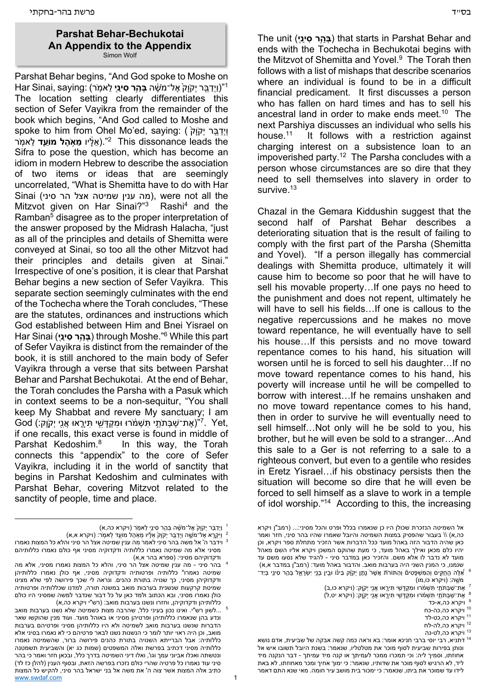## **Parshat Behar-Bechukotai An Appendix to the Appendix** Simon Wolf

Parshat Behar begins, "And God spoke to Moshe on 1"(וַיְדֵּבֵּר יִקֹוַק<sup>י</sup> אֵל־מֹשֶׁה **ִבְּהֵר סִינַיִ לֵאמִר) . "** The location setting clearly differentiates this section of Sefer Vayikra from the remainder of the book which begins, "And God called to Moshe and spoke to him from Ohel Mo'ed, saying: וידבר יקוק ) the leads dissonance This 2". )ֵאָ֔ליו **ֵמ֥אֶֹהל ֵ֖מֹועד** ֵל ֽאמֹר Sifra to pose the question, which has become an idiom in modern Hebrew to describe the association of two items or ideas that are seemingly uncorrelated, "What is Shemitta have to do with Har Sinai (מה ענין שמיטה אצל הר סיני), were not all the Mitzvot given on Har Sinai?"<sup>3</sup> Rashi<sup>4</sup> and the Ramban<sup>5</sup> disagree as to the proper interpretation of the answer proposed by the Midrash Halacha, "just as all of the principles and details of Shemitta were conveyed at Sinai, so too all the other Mitzvot had their principles and details given at Sinai." Irrespective of one's position, it is clear that Parshat Behar begins a new section of Sefer Vayikra. This separate section seemingly culminates with the end of the Tochecha where the Torah concludes, "These are the statutes, ordinances and instructions which God established between Him and Bnei Yisrael on Har Sinai (**י֖ינַ סִ הרַ֥בְּ** ( through Moshe."6 While this part of Sefer Vayikra is distinct from the remainder of the book, it is still anchored to the main body of Sefer Vayikra through a verse that sits between Parshat Behar and Parshat Bechukotai. At the end of Behar, the Torah concludes the Parsha with a Pasuk which in context seems to be a non-sequitur, "You shall keep My Shabbat and revere My sanctuary; I am God (אֶת־שַׁבְּתֹּתֵי תְּשָׁמֹרוּ וּמִקְדָּשִׁי תְּיָרֶאוּ אֲנֵי יְקָוָק:) (האָ "7. Yet, if one recalls, this exact verse is found in middle of Parshat Kedoshim.<sup>8</sup> In this way, the Torah connects this "appendix" to the core of Sefer Vayikra, including it in the world of sanctity that begins in Parshat Kedoshim and culminates with Parshat Behar, covering Mitzvot related to the sanctity of people, time and place.

The unit (**י֖ינַ סִ הרַ֥בְּ** ( that starts in Parshat Behar and ends with the Tochecha in Bechukotai begins with the Mitzvot of Shemitta and Yovel.<sup>9</sup> The Torah then follows with a list of mishaps that describe scenarios where an individual is found to be in a difficult financial predicament. It first discusses a person who has fallen on hard times and has to sell his ancestral land in order to make ends meet.<sup>10</sup> The next Parshiya discusses an individual who sells his house.11 It follows with a restriction against charging interest on a subsistence loan to an impoverished party.12 The Parsha concludes with a person whose circumstances are so dire that they need to sell themselves into slavery in order to survive.<sup>13</sup>

Chazal in the Gemara Kiddushin suggest that the second half of Parshat Behar describes a deteriorating situation that is the result of failing to comply with the first part of the Parsha (Shemitta and Yovel). "If a person illegally has commercial dealings with Shemitta produce, ultimately it will cause him to become so poor that he will have to sell his movable property…If one pays no heed to the punishment and does not repent, ultimately he will have to sell his fields…If one is callous to the negative repercussions and he makes no move toward repentance, he will eventually have to sell his house…If this persists and no move toward repentance comes to his hand, his situation will worsen until he is forced to sell his daughter…If no move toward repentance comes to his hand, his poverty will increase until he will be compelled to borrow with interest…If he remains unshaken and no move toward repentance comes to his hand, then in order to survive he will eventually need to sell himself…Not only will he be sold to you, his brother, but he will even be sold to a stranger…And this sale to a Ger is not referring to a sale to a righteous convert, but even to a gentile who resides in Eretz Yisrael…if his obstinacy persists then the situation will become so dire that he will even be forced to sell himself as a slave to work in a temple of idol worship."14 According to this, the increasing

- - -
		-
		-
		-

<sup>ּ</sup> וַיְדַבֵּר יְקוָק<sup>י</sup> אֶל־מֹשֶׁה בְּהֵר סִינֵי לֵאמְר (ויקרא כה,א)<br>יַיִּקְרֵא אֶל־מֹשֵׁה וַיְדַבֵּר יְקוַק<sup>י</sup> אַלָּיו מַאָׂהֶל מוֹעֵד לֵאמְר: (ויקרא א,א) 1

וידבר ה' אל משה בהר סיני לאמר מה ענין שמיטה אצל הר סיני והלא כל המצות נאמרו  $^3$ מסיני אלא מה שמיטה נאמרו כללותיה ודקדוקיה מסיני אף כולם נאמרו כללותיהם ודקדוקיהם מסיני: (ספרא בהר א,א)<br>4 \_בהר סיני - מה ענין שמיטה אצל הר סיני, והלא כל המצות נאמרו מסיני, אלא מה

שמיטה נאמרו<sup>א</sup> כללותיה ופרטותיה ודקדוקיה מסיני, אף כולן נאמרו כללותיהן ודקדוקיהן מסיני, כך שנויה בתורת כהנים. ונראה לי שכך פירושה לפי שלא מצינו שמיטת קרקעות שנשנית בערבות מואב במשנה תורה, למדנו שכללותיה ופרטותיה כולן נאמרו מסיני, ובא הכתוב ולמד כאן על כל דבור שנדבר למשה שמסיני היו כולם<br>כללותיהן ודקדוקיהן, וחזרו ונשנו בערבות מואב: (רש"י ויקרא כה,א)

www.swdaf.com 1 רש"ו. ואינו נכון בעיני כלל, שהרבה מצות כשמיטה שלא נשנו בערבות מואב.  $^5$ ונדע בהן שנאמרו כללותיהן ופרטיהן מסיני או באוהל מועד. ועוד מנין שהוקשו שאר הדברות שנשנו בערבות מואב לשמיטה ולא היו כללותיהן מסיני ופרטיהם בערבות מואב, וכן היה ראוי יותר לומר כי הנשנות נשנו לבאר פרטיהם כי לא נאמרו בסיני אלא כללותיה: אבל הברייתא השנויה בתורת כהנים פירושה ברור, שהשמיטה נאמרו כללותיה מסיני דכתיב בפרשת ואלה המשפטים (שמות כג יא) והשביעית תשמטנה ונטשתה ואכלו אביוני עמך וגו', ואלו דיני השמיטה בדרך כלל, ובכאן חזר ואמר כי בהר סיני עוד נאמרו כל פרטיה שהרי כולם נזכרו בפרשה הזאת, ובסוף הענין (להלן כז לד) כתיב אלה המצות אשר צוה ה' את משה אל בני ישראל בהר סיני, להקיש כל המצות

אל השמיטה הנזכרת שכולן היו כן שנאמרו בכלל ופרט והכל מסיני...: (רמב"ן ויקרא כה,א) \\ בעבור שהפסיק במצות השמיטה והיובל שאמרו שהיו בהר סיני, חזר ואמר כאן שהיה הדבור הזה באהל מועד ככל הדברות אשר הזכיר מתחלת ספר ויקרא, וכן יהיו כלם מכאן ואילך באהל מועד, כי מעת שהוקם המשכן ויקרא אליו השם מאהל מועד לא נדבר לו אלא משם. והזכיר כאן במדבר סיני - להגיד שלא נסעו משם עד

שנמנו, כי המנין השני היה בערבות מואב. והדבור באהל מועד: (רמב"ן במדבר א,א)<br>אַלָּה הַחֻקִּים וְהַמִּשְׁפָּטִים וְהַתּּוֹרֹת אֲשֶׁר נָתָן יִקֹןֹק בַּינוֹ וּבֵין בְּנֵי יִשְׂרָאֱל בְּהַר סִינֵי בְּיַד־ מֹשֱה: (ויקרא כו,מו)<br><sup>7</sup> אֶת־שַׁבְּתֹתֵי תִּשְׁמֹרוּ וּמִקְדָּשֵׁי תִּירֱאוּ אֲנֵיִ יִקְוֶק: (ויקרא כו,ב)<br><sup>8</sup> אֶת־שַׁבְּתֹתֵי תִּשְׁמֹרוּ וּמִקְדָּשֵׁי תִּירֱאוּ אֲנֵי יְקוֶק: (ויקרא יט,ל)<br><sup>1</sup> ויקרא כה,כה-כח<br><sup>11</sup> ויקרא

ונותן בפירות שביעית לסוף מוכר את מטלטליו, שנאמר: בשנת היובל תשובו איש אל אחוזתו, וסמיך ליה: וכי תמכרו ממכר לעמיתך או קנה מיד עמיתך - דבר הנקנה מיד ליד, לא הרגיש לסוף מוכר את שדותיו, שנאמר: כי ימוך אחיך ומכר מאחוזתו, לא באת לידו עד שמוכר את ביתו, שנאמר: כי ימכור בית מושב עיר חומה. מאי שנא התם דאמר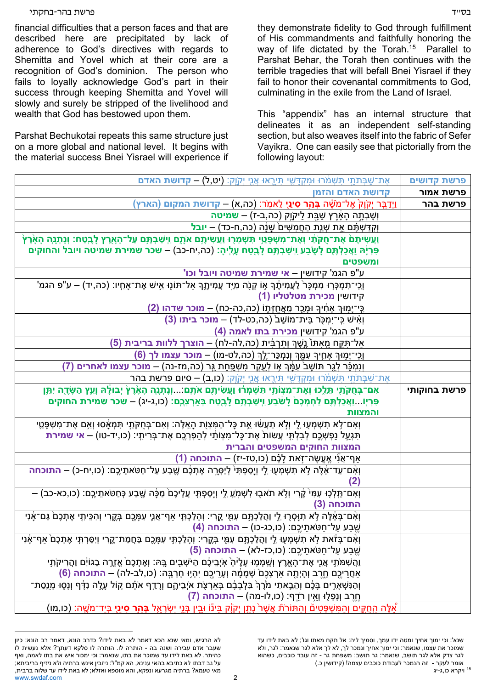## בס"ד פרשת בהר-בחקתי

financial difficulties that a person faces and that are described here are precipitated by lack of adherence to God's directives with regards to Shemitta and Yovel which at their core are a recognition of God's dominion. The person who fails to loyally acknowledge God's part in their success through keeping Shemitta and Yovel will slowly and surely be stripped of the livelihood and wealth that God has bestowed upon them.

Parshat Bechukotai repeats this same structure just on a more global and national level. It begins with the material success Bnei Yisrael will experience if they demonstrate fidelity to God through fulfillment of His commandments and faithfully honoring the way of life dictated by the Torah.<sup>15</sup> Parallel to Parshat Behar, the Torah then continues with the terrible tragedies that will befall Bnei Yisrael if they fail to honor their covenantal commitments to God, culminating in the exile from the Land of Israel.

This "appendix" has an internal structure that delineates it as an independent self-standing section, but also weaves itself into the fabric of Sefer Vayikra. One can easily see that pictorially from the following layout:

| אֶת־שַׁבְּתֹתַי תִּשְׁמֹרוּ וּמִקְדָּשִׁי תִּירֶאוּ אֲנֵי יְקֹוֶק: <b>(יט,ל) – קדושת האדם</b>                                                                                                       | פרשת קדושים  |
|-----------------------------------------------------------------------------------------------------------------------------------------------------------------------------------------------------|--------------|
| קדושת האדם והזמן                                                                                                                                                                                    | פרשת אמור    |
| וַיְדַבֵּר יְקֹוָקֹ אֶל־מֹשֶׁה בְּהַ <b>ָּר סִינַי</b> ָ לֵאמְרׁ: (כה,א) – קדושת המקום (הארץ)                                                                                                       | פרשת בהר     |
| <u>וְשָׁבְתָה הָאָׄרֶץ שַׁבֶּת לַיקוֱק (כה,ב-ז) – שמיטה </u>                                                                                                                                        |              |
| וְקִדַּשְׁתֶ <b>ֹּ</b> ם אֶת שְׁנֻת הַחֲמִשִּׁים שָׁנָּה (כה,ח-כד) <b>– יובל</b>                                                                                                                    |              |
| וַעֲשִׂיתֶםׂ אֶת־חֻקֹּתַּׁי וְאֶת־מִשְׁפָּטַי תִּשְׁמְּרֻוּ וַעֲשִׂיתֶם אֹתֶם וִישַׁבְתֶּם עַל־הָאָרֶץ לָבֶטַח: וְנָתְנָה הָאָׂרֶץֹ                                                                 |              |
| פִּרְיָה וַאֲכַלְתֶּם לָשֶׂבַע וִיְשַׁבְתֶּם לָבֻטַּח עֶלִיהָ: (כה,יח-כב) – שכר שמירת שמיטה ויובל והחוקים                                                                                           |              |
| ומשפטים                                                                                                                                                                                             |              |
| ע"פ הגמ' קידושין – אי שמירת שמיטה ויובל וכו'                                                                                                                                                        |              |
| ּוְכִי־תִּמְכָּרְוּ מִמְכָּרֹ לַעֲמִיתֶ֫ךָ אָוֹ קָנֻׂה מִיַּד עֲמִיתֶךָ אַל־תּוֹנָוּ אִישׁ אֶת־אָחִיו: (כה,יד) – ע"פ הגמ'                                                                           |              |
| קידושין מכירת מטלטליו (1)                                                                                                                                                                           |              |
| ַכְּי־יָמְוּךְ אָחִיךְ וּמָכֻר מֵאֲחֻזָּתֶוֹ (כה,כה-כח) – מוכר שדהו (2)                                                                                                                             |              |
| וְאִישׁ כְּי־יִמְכָּר בֵּית־מוֹשַׁב <sup>ּ</sup> (כַה,כט-לד) – מוכר ביתו (3)                                                                                                                        |              |
| ע"פ הגמ' קידושין <b>מכירת בתו לאמה (4</b> )                                                                                                                                                         |              |
| אַל־תִּקֶח מֵאִתּוֹ נֶשֶׁךְ וְתַרְבִּית (כה,לה-לח) – הוצרך ללוות בריבית (5)                                                                                                                         |              |
| וְכִי־יָמִוּךְ אָחֶיךָ עִמֶּךְ וְנִמְכַּר־לֶךְ (כה,לט-מו) – <b>מוכר עצמו לך (6</b> )                                                                                                                |              |
| וְנִמְּכַּ֫ר לְגֵר תּוֹשָׁב <sup>ֹ</sup> עִמֶּ֫ךְ אָוֹ לְעֻקֶר מִשְׁפַּחַת גֵּר (כה,מז-נה) – <b>מוכר עצמו לאחרים (7)</b>                                                                            |              |
| אֶת־שַׁבְּתֹּתֵי תִּשְׁמֹרוּ וּמִקְדָּשִׁי תִּירֶאוּ אֲנֵי יְקֹוֶק: <b>(כו,ב) – סיום פרשת בהר</b>                                                                                                   |              |
| אִם־בְּחֻקֹּתַי תֵּלֵכוּ וְאֶת־מִצְוֹתַי תִּשְׁמְרֹוּ וַעֲשִׂיתֶם אֹתָם וְנָתְנָה הָאָ֫רֶץ יְבוּלָה וְעֵץ הַשָּׂדֶה יִתֵּן                                                                          | פרשת בחוקותי |
| פִּרְיְוֹוַאֲכַלְתֶּם לַחְמְכֶם ׁלָשֹׂבַע וְיִשַּׁבְתֶּם לָבֻטַח בְּאַרְצְכֶם: (כו,ג-יג) – שכר שמירת החוקים                                                                                         |              |
| והמצוות                                                                                                                                                                                             |              |
| וְאִם־לָא תִשְׁמְעָוּ לֵי וְלָא תַעֲשׂוּ אֶת כָּל־הַמִּצְוָת הָאֵלֶּה: וְאִם־בְּחֻקֹּתַי תִּמְאָׂסוּ וְאָם אֶת־מִשְׁפָּטֵי                                                                          |              |
| תִּגְעַל נַפְשְׁכֶם לְבִלְתָּי עֲשׂוֹת אֶת־כָּל־מִצְוֹתַי לְהַפְרְכֶם אֶת־בְּרִיתְי: (כו,יד-טו) – <b>אי שמירת</b>                                                                                   |              |
| המצוות החוקים המשפטים והברית                                                                                                                                                                        |              |
| אַף־אֲנִי אֱעֱשֶׂה־זְאת לָכֶם (כו,טז-יז) – התוכחה (1)                                                                                                                                               |              |
| וְאִם־עַד־אֵ֫לֶּה לָא תִשְׁמְעֻוּ לֵי וְיָסַפְתִּי´ לְיַסְרֶה אֶתְכֶּ֫ם שֶׁבַע עַל־חַטֹּאתֵיכֶם: (כו,יח-כ) – <b>התוכחה</b>                                                                          |              |
| (2)                                                                                                                                                                                                 |              |
| וְאִם־תֵּלְכָוּ עִמִּי קֶׂרִי וְלָא תֹאבָוּ לִשְׁמָ <u>ֹעְ לֵ</u> י וְיָסַפְתָּי עֲלֵיכֶם <sub>ֹ</sub> מֵכָּ֫ה שֶׁבַע כְּחַטֹּאתֵיכֶם: (כו,כא-כב) —                                                 |              |
| התוכחה (3)                                                                                                                                                                                          |              |
| וְאִם־בְּאֵ֫לֶּה לָא תִוָּסְרָוּ לֵי וַהֲלַכְתֶּם עִמֵּי קֶרִי: וְהָלַכְתְּי אַף־אֲנֶי עִמָּכֶם בְּקֶרִי וְהִכֵּיתָי אֶתְכֶם ֹּנַם־אָנִי<br><u>שֶׁבַע עַל־חַטֹּאתֵיכֶם: (כו,כג-כו) – התוכחה (4)</u> |              |
| וְאִם־בְּזֹאת לָא תִשְׁמְעָוּ לֵי וַהֲלַכְתֶּם עִמֻּי בְּקֶרִי: וְהָלַכְתָּי עִמָּכֶם בַּחֲמַת־קֶרִי וְיִסַּרְתָּי אֶתְכֶם אַף־אָנִי                                                                |              |
| ֹשֶׁבַע עַל־חַטֹּאתֶיכֶם: (כו,כז-לא) – התוכחה (5)                                                                                                                                                   |              |
| וַהֲשָׁמֹּתֶי אֲנֵי אֶת־הָאָרֶץ וְשָׁמְמִוּ עָלֶיהָ אִיְבֵיכֶם הַיּשָׁבִים בָּהּ: וְאֶתְכֶם אֱזֶרֶה בַגּוֹיִם וַהֲרִיקֹתִי                                                                          |              |
| ֹאַחֲרֵיכֶם חֱרֶב וְהָיְתֶה אַרְצְכֶם שְׁמָמָ֫ה וְעָרֵיכֶם יִהְיָוּ חָרְבָּה: (כו,לב-לה) – <b>התוכחה (6)</b>                                                                                        |              |
| ֿוְהַנִּשְׁאָרִים בָּכֶּם וְהֵבֵאתִי מֹּרֶךְ בִּלְבָבָם בְּאַרְצָת אֹיְבֵיהֶם וְרָדֵף אֹתָם קוֹל עָלֶה נִדָּף וְנָסְוּ מְנֻסַת־                                                                     |              |
|                                                                                                                                                                                                     |              |
| ְחֶרֶב וְנָפְלֻוּ וְאֵין רֹדֵף: (כו,לו-מה) – <b>התוכחה (7)</b>                                                                                                                                      |              |

שנא': וכי ימוך אחיך ומטה ידו עמך, וסמיך ליה: אל תקח מאתו וגו'; לא באת לידו עד שמוכר את עצמו, שנאמר: וכי ימוך אחיך ונמכר לך, לא לך אלא לגר שנאמר: לגר, ולא לגר צדק אלא לגר תושב, שנאמר: גר תושב; משפחת גר - זה עובד כוכבים, כשהוא אומר לעקר - זה הנמכר לעבודת כוכבים עצמה! (קידושין כ.)<br><sup>15</sup> ויקרא כו.ג-יג

1

www.swdaf.com 2 לא הרגיש, ומאי שנא הכא דאמר לא באת לידו? כדרב הונא, דאמר רב הונא: כיון שעבר אדם עבירה ושנה בה - הותרה לו. הותרה לו סלקא דעתך? אלא נעשית לו כהיתר. לא באת לידו עד שמוכר את בתו, שנאמר: וכי ימכור איש את בתו לאמה, ואף על גב דבתו לא כתיבא בהאי ענינא, הא קמ"ל: ניזבין אינש ברתיה ולא ניזיף בריביתא; מאי טעמא? ברתיה מגרעא ונפקא, והא מוספא ואזלא; לא באת לידו עד שלוה ברבית,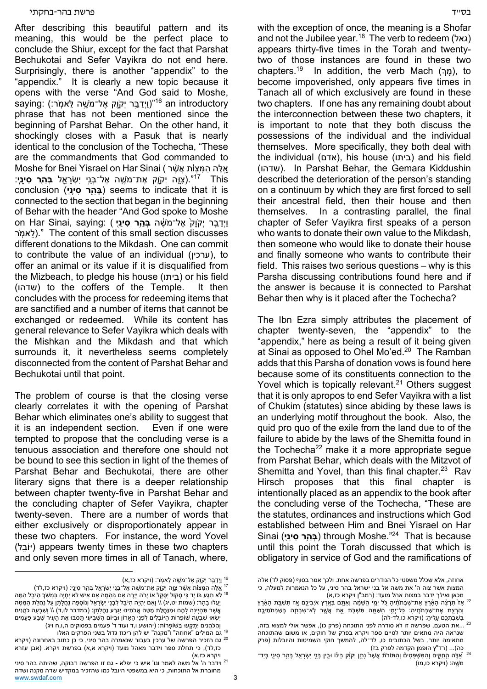After describing this beautiful pattern and its meaning, this would be the perfect place to conclude the Shiur, except for the fact that Parshat Bechukotai and Sefer Vayikra do not end here. Surprisingly, there is another "appendix" to the "appendix." It is clearly a new topic because it opens with the verse "And God said to Moshe, saying: ווידבּר יקוִק אל־מַשה לאמֹר:) saying: ווידבּר יִק phrase that has not been mentioned since the beginning of Parshat Behar. On the other hand, it shockingly closes with a Pasuk that is nearly identical to the conclusion of the Tochecha, "These are the commandments that God commanded to Moshe for Bnei Yisrael on Har Sinai (אֵלֶּה הַמַּצָוֹת אֲשֶׁר This 17". )ִצָּ֧וה יְקָֹ֛וק ֶאת־מֶֹׁ֖שה ֶא ְ ל־ּבֵ֣ני יִ ְׂשָרֵ֑אל **ְּבַ֖הר ִס ָינֽי**: conclusion (**יֽינָ סִ הרַ֖בְּ** ( seems to indicate that it is connected to the section that began in the beginning of Behar with the header "And God spoke to Moshe **וַיִּדַבֵּר יִקֹוַק** אֵל־מֹשֶׁה **ִּבְּהֵר סִינַיִּ ) :on Har Sinai, saying** רֹאמֽ לֵ( . "The content of this small section discusses different donations to the Mikdash. One can commit to contribute the value of an individual (ערכין), to offer an animal or its value if it is disqualified from the Mizbeach, to pledge his house (ביתו (or his field (שדהו) to the coffers of the Temple. It then concludes with the process for redeeming items that are sanctified and a number of items that cannot be exchanged or redeemed. While its content has general relevance to Sefer Vayikra which deals with the Mishkan and the Mikdash and that which surrounds it, it nevertheless seems completely disconnected from the content of Parshat Behar and Bechukotai until that point.

The problem of course is that the closing verse clearly correlates it with the opening of Parshat Behar which eliminates one's ability to suggest that it is an independent section. Even if one were tempted to propose that the concluding verse is a tenuous association and therefore one should not be bound to see this section in light of the themes of Parshat Behar and Bechukotai, there are other literary signs that there is a deeper relationship between chapter twenty-five in Parshat Behar and the concluding chapter of Sefer Vayikra, chapter twenty-seven. There are a number of words that either exclusively or disproportionately appear in these two chapters. For instance, the word Yovel (יוֹבֵל) appears twenty times in these two chapters and only seven more times in all of Tanach, where,

with the exception of once, the meaning is a Shofar and not the Jubilee year.<sup>18</sup> The verb to redeem (גאל) appears thirty-five times in the Torah and twentytwo of those instances are found in these two chapters.<sup>19</sup> In addition, the verb Mach (מַרָּ), to become impoverished, only appears five times in Tanach all of which exclusively are found in these two chapters. If one has any remaining doubt about the interconnection between these two chapters, it is important to note that they both discuss the possessions of the individual and the individual themselves. More specifically, they both deal with the individual (אדם), his house (ביתו) and his field (שדהו(. In Parshat Behar, the Gemara Kiddushin described the deterioration of the person's standing on a continuum by which they are first forced to sell their ancestral field, then their house and then themselves. In a contrasting parallel, the final chapter of Sefer Vayikra first speaks of a person who wants to donate their own value to the Mikdash, then someone who would like to donate their house and finally someone who wants to contribute their field. This raises two serious questions – why is this Parsha discussing contributions found here and if the answer is because it is connected to Parshat Behar then why is it placed after the Tochecha?

The Ibn Ezra simply attributes the placement of chapter twenty-seven, the "appendix" to the "appendix," here as being a result of it being given at Sinai as opposed to Ohel Mo'ed.<sup>20</sup> The Ramban adds that this Parsha of donation vows is found here because some of its constituents connection to the Yovel which is topically relevant.<sup>21</sup> Others suggest that it is only apropos to end Sefer Vayikra with a list of Chukim (statutes) since abiding by these laws is an underlying motif throughout the book. Also, the quid pro quo of the exile from the land due to of the failure to abide by the laws of the Shemitta found in the Tochecha<sup>22</sup> make it a more appropriate segue from Parshat Behar, which deals with the Mitzvot of Shemitta and Yovel, than this final chapter.<sup>23</sup> Rav Hirsch proposes that this final chapter is intentionally placed as an appendix to the book after the concluding verse of the Tochecha, "These are the statutes, ordinances and instructions which God established between Him and Bnei Yisrael on Har Sinai (**י֖ינַ סִ הרַ֥בְּ** ( through Moshe."24 That is because until this point the Torah discussed that which is obligatory in service of God and the ramifications of

<sup>&</sup>lt;sup>16</sup> וַיְדַבֵּר יְקָוֶק אֶל־מֹעֶה לֵאמְר: (ויקרא כז,א)

<sup>&</sup>lt;sup>ַּז</sup> אֵלֶה הַמִּצְוֹת אֲשֶׁר צֵוֶה יִקְוֶק אֶת־מֹשֶׁה אֶל־בְּנֵי יִשְׂרָאֵל בְּהַר סִינֵי: (ויקרא כז,לד) <sup>17</sup> <sup>18</sup> לֹא ִתְגַּע בֹּו יַד כִּי סָקוֹל יִסָּקֵל אֹו יָרֹה יְיָרֶה אִם בְּהֵמֶה אִם אִיש לֹא יִחְיֶה בִּמְשֹׁךְ הַיֹּבֵל הַמָּה יַעֲלוּ בָהָר: (שמות יט,יג) \\ וְאִם יִהְיֶה הַיּבֵל לִבְנֵי יִשְׂרָאֵל וְנוֹסְפָה נַחֲלָתָן עַל נַחֲלַת הַמַּטֶּה ְאֲשֶׁר תִּהְיֶינָה לָהֶם וּמִנַּחֲלַת מַטֵּה אֲבֹתֵינוּ יִגָּרַע נַחֲלָתָן: (במדבר לו,ד) \\ וְשִׁבְעָה כֹהֲנִים ַיְשָׂאוּ שָׁבְעָה שוֹפְרוֹת הַ ּיוֹבְלִים לְפָנֵי הַארון וּבִיּוֹם הַשָּׁבִיעִי תַּסֹּבּוּ אֶת הַעִיר שַׁבַע פָּעָמִים וְהַכֹּהֲנִים יְתָקְעוּ בַּשּׁוֹפָרוֹת: (יהושע ו,ד ועוד ד' פעמים בפסוקים ה,ו,ח ויג)<br><sup>19</sup> גם המילים "אחוזה" ו"מקנה" יש להן ריכוז גדול בשני הפרקים האלו

גם הזכיר הפרשה של ערכין בעבור שנאמרה בהר סיני, כי כן כתוב באחרונה (ויקרא <sup>20</sup> גם המילים "אחוזה" <sup>ו</sup>"מקנה" יש להן ריכוז גדול בשני הפרקים האלו<sup>19</sup> כז,לד), כי תחלת ספר וידבר מאהל מועד (ויקרא א,א) בפרשת ויקרא. (אבן עזרא

www.swdaf.com 3 ויקרא כז,א)<br><sup>21</sup> וידבר ה' אל משה לאמר וגו' איש כי יפלא - גם זו הפרשה דבוקה, שהיתה בהר סיני מחוברת אל התוכחות, כי היא במשפטי היובל כמו שהזכיר במקדיש שדה מקנה ושדה

אחוזה, אלא שכלל משפטי כל הנודרים בפרשה אחת. ולכך אמר בסוף (פסוק לד) אלה המצות אשר צוה ה' את משה אל בני ישראל בהר סיני, על כל הנאמרות למעלה, כי<br>מכאן ואילך ידבר במצות אהל מועד: (רמב"ן ויקרא כז,א)

<sup>ַ</sup> אַ תִּעְבֶּת הָאֶרֶץ אֶת־שַׁבְּתֹּתֶיהָ כִּל יְמֵי הֲשַׁמֶּה וְאַתֶּם בְּאֶרֶץ איְבֵיכֶם אֶז תִּשְׁבַת הָאָרֶץ  $^{22}$ וְהַרְצֶת אֶת־שַׁבְּתֹּתֶיִהָ: כָּל־יְמֵי הָשָׁמֶּה תִּשְׁבֵּת אֵ֣ת אֲשֶׁר לְא־שָׁבְתֶה בְּשַׁבְּתֹתֵיכֶם<br>בַּשְׁבַתְּכֵם עֵלִיה: (ויקרא כו,לד-לה)

<sup>...</sup>את הטעם, שפרשה זו לא סודרה לפני התוכחה (פרק כו), אפשר אולי למצוא בזה, <sup>23</sup> ... שנראה היה מתאים יותר לסיים ספר ויקרא בפרק של חוקים, או משום שהתוכחה מתאימה יותר, בשל הכתובים כו, לד־לה, להמשך חוקי השמיטות והיובלות (פרק<br>כה)... (רד"ץ הופמן הקדמה לפרק בז)

<sup>&</sup>lt;sup>ַ 24</sup> אֶלֶה הַחֻקִים וְהַמִּשְׁפָּטִים וְהַתּוּרֹת אֲשֶׁר נָתַן יְקוֶק בַּינْו וּבֵין בְּנֵי יִשְׂרָאֵל בְּהַר סִינֵי בְּיַד־ מֶֹ ֽׁשה: (ויקרא כו,מו)